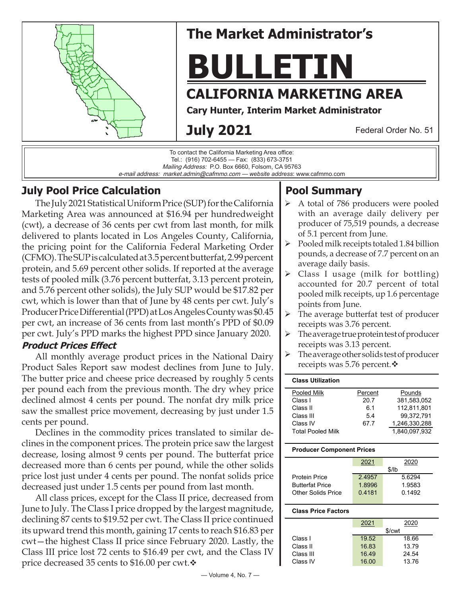



## **July Pool Price Calculation**

The July 2021 Statistical Uniform Price (SUP) for the California Marketing Area was announced at \$16.94 per hundredweight (cwt), a decrease of 36 cents per cwt from last month, for milk delivered to plants located in Los Angeles County, California, the pricing point for the California Federal Marketing Order (CFMO). The SUP is calculated at 3.5 percent butterfat, 2.99 percent protein, and 5.69 percent other solids. If reported at the average tests of pooled milk (3.76 percent butterfat, 3.13 percent protein, and 5.76 percent other solids), the July SUP would be \$17.82 per cwt, which is lower than that of June by 48 cents per cwt. July's Producer Price Differential (PPD) at Los Angeles County was \$0.45 per cwt, an increase of 36 cents from last month's PPD of \$0.09 per cwt. July's PPD marks the highest PPD since January 2020.

### **Product Prices Effect**

All monthly average product prices in the National Dairy Product Sales Report saw modest declines from June to July. The butter price and cheese price decreased by roughly 5 cents per pound each from the previous month. The dry whey price declined almost 4 cents per pound. The nonfat dry milk price saw the smallest price movement, decreasing by just under 1.5 cents per pound.

Declines in the commodity prices translated to similar declines in the component prices. The protein price saw the largest decrease, losing almost 9 cents per pound. The butterfat price decreased more than 6 cents per pound, while the other solids price lost just under 4 cents per pound. The nonfat solids price decreased just under 1.5 cents per pound from last month.

All class prices, except for the Class II price, decreased from June to July. The Class I price dropped by the largest magnitude, declining 87 cents to \$19.52 per cwt. The Class II price continued its upward trend this month, gaining 17 cents to reach \$16.83 per cwt—the highest Class II price since February 2020. Lastly, the Class III price lost 72 cents to \$16.49 per cwt, and the Class IV price decreased 35 cents to \$16.00 per cwt. $\mathbf{\hat{v}}$ 

# **Pool Summary**

- $\triangleright$  A total of 786 producers were pooled with an average daily delivery per producer of 75,519 pounds, a decrease of 5.1 percent from June.
- $\triangleright$  Pooled milk receipts totaled 1.84 billion pounds, a decrease of 7.7 percent on an average daily basis.
- $\triangleright$  Class I usage (milk for bottling) accounted for 20.7 percent of total pooled milk receipts, up 1.6 percentage points from June.
- $\triangleright$  The average butterfat test of producer receipts was 3.76 percent.
- $\triangleright$  The average true protein test of producer receipts was 3.13 percent.
- $\triangleright$  The average other solids test of producer receipts was 5.76 percent. $\mathbf{\hat{v}}$

| <b>Class Utilization</b> |         |               |
|--------------------------|---------|---------------|
| Pooled Milk              | Percent | Pounds        |
| Class I                  | 20.7    | 381.583.052   |
| Class II                 | 6.1     | 112.811.801   |
| Class III                | 54      | 99.372.791    |
| Class IV                 | 67.7    | 1,246,330,288 |
| <b>Total Pooled Milk</b> |         | 1.840,097,932 |

#### **Producer Component Prices**

|                        | 2021   | 2020   |
|------------------------|--------|--------|
|                        |        | \$/lb  |
| <b>Protein Price</b>   | 2.4957 | 5.6294 |
| <b>Butterfat Price</b> | 18996  | 1.9583 |
| Other Solids Price     | 0.4181 | 0.1492 |
|                        |        |        |

#### **Class Price Factors**

|           | 2021  | 2020   |
|-----------|-------|--------|
|           |       | \$/cwt |
| Class I   | 19.52 | 18.66  |
| Class II  | 16.83 | 13.79  |
| Class III | 16.49 | 24.54  |
| Class IV  | 16.00 | 13.76  |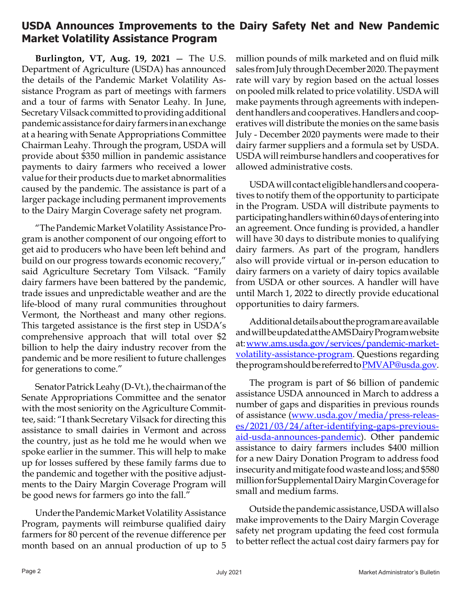## **USDA Announces Improvements to the Dairy Safety Net and New Pandemic Market Volatility Assistance Program**

**Burlington, VT, Aug. 19, 2021** — The U.S. Department of Agriculture (USDA) has announced the details of the Pandemic Market Volatility Assistance Program as part of meetings with farmers and a tour of farms with Senator Leahy. In June, Secretary Vilsack committed to providing additional pandemic assistance for dairy farmers in an exchange at a hearing with Senate Appropriations Committee Chairman Leahy. Through the program, USDA will provide about \$350 million in pandemic assistance payments to dairy farmers who received a lower value for their products due to market abnormalities caused by the pandemic. The assistance is part of a larger package including permanent improvements to the Dairy Margin Coverage safety net program.

"The Pandemic Market Volatility Assistance Program is another component of our ongoing effort to get aid to producers who have been left behind and build on our progress towards economic recovery," said Agriculture Secretary Tom Vilsack. "Family dairy farmers have been battered by the pandemic, trade issues and unpredictable weather and are the life-blood of many rural communities throughout Vermont, the Northeast and many other regions. This targeted assistance is the first step in USDA's comprehensive approach that will total over \$2 billion to help the dairy industry recover from the pandemic and be more resilient to future challenges for generations to come."

Senator Patrick Leahy (D-Vt.), the chairman of the Senate Appropriations Committee and the senator with the most seniority on the Agriculture Committee, said: "I thank Secretary Vilsack for directing this assistance to small dairies in Vermont and across the country, just as he told me he would when we spoke earlier in the summer. This will help to make up for losses suffered by these family farms due to the pandemic and together with the positive adjustments to the Dairy Margin Coverage Program will be good news for farmers go into the fall."

Under the Pandemic Market Volatility Assistance Program, payments will reimburse qualified dairy farmers for 80 percent of the revenue difference per month based on an annual production of up to 5

million pounds of milk marketed and on fluid milk sales from July through December 2020. The payment rate will vary by region based on the actual losses on pooled milk related to price volatility. USDA will make payments through agreements with independent handlers and cooperatives. Handlers and cooperatives will distribute the monies on the same basis July - December 2020 payments were made to their dairy farmer suppliers and a formula set by USDA. USDA will reimburse handlers and cooperatives for allowed administrative costs.

USDA will contact eligible handlers and cooperatives to notify them of the opportunity to participate in the Program. USDA will distribute payments to participating handlers within 60 days of entering into an agreement. Once funding is provided, a handler will have 30 days to distribute monies to qualifying dairy farmers. As part of the program, handlers also will provide virtual or in-person education to dairy farmers on a variety of dairy topics available from USDA or other sources. A handler will have until March 1, 2022 to directly provide educational opportunities to dairy farmers.

Additional details about the program are available and will be updated at the AMS Dairy Program website at:www.ams.usda.gov/services/pandemic-marketvolatility-assistance-program. Questions regarding theprogram should be referred to PMVAP@usda.gov.

The program is part of \$6 billion of pandemic assistance USDA announced in March to address a number of gaps and disparities in previous rounds of assistance (www.usda.gov/media/press-releas[es/2021/03/24/after-identifying-gaps-previous](https://www.usda.gov/media/press-releases/2021/03/24/after-identifying-gaps-previous-aid-usda-announces-pandemic)[aid-usda-announces-pandemic](https://www.usda.gov/media/press-releases/2021/03/24/after-identifying-gaps-previous-aid-usda-announces-pandemic)). Other pandemic assistance to dairy farmers includes \$400 million for a new Dairy Donation Program to address food insecurity and mitigate food waste and loss; and \$580 million for Supplemental Dairy Margin Coverage for small and medium farms.

Outside the pandemic assistance, USDA will also make improvements to the Dairy Margin Coverage safety net program updating the feed cost formula to better reflect the actual cost dairy farmers pay for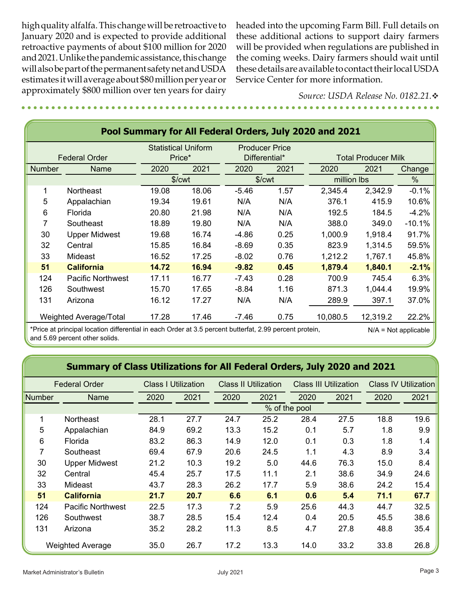high quality alfalfa. This change will be retroactive to January 2020 and is expected to provide additional retroactive payments of about \$100 million for 2020 and 2021. Unlike the pandemic assistance, this change will also be part of the permanent safety net and USDA estimates it will average about \$80 million per year or approximately \$800 million over ten years for dairy

headed into the upcoming Farm Bill. Full details on these additional actions to support dairy farmers will be provided when regulations are published in the coming weeks. Dairy farmers should wait until these details are available to contact their local USDA Service Center for more information.

> *Source: USDA Release No. 0182.21.*v

| Pool Summary for All Federal Orders, July 2020 and 2021 |                          |       |                       |         |               |             |                            |          |  |
|---------------------------------------------------------|--------------------------|-------|-----------------------|---------|---------------|-------------|----------------------------|----------|--|
| <b>Statistical Uniform</b>                              |                          |       | <b>Producer Price</b> |         |               |             |                            |          |  |
|                                                         | <b>Federal Order</b>     |       | Price*                |         | Differential* |             | <b>Total Producer Milk</b> |          |  |
| <b>Number</b>                                           | <b>Name</b>              | 2020  | 2021                  | 2020    | 2021          |             | 2021                       | Change   |  |
|                                                         |                          |       | \$/ <sub>cut</sub>    | \$/cwt  |               | million lbs |                            | %        |  |
|                                                         | Northeast                | 19.08 | 18.06                 | $-5.46$ | 1.57          | 2,345.4     | 2,342.9                    | $-0.1%$  |  |
| 5                                                       | Appalachian              | 19.34 | 19.61                 | N/A     | N/A           | 376.1       | 415.9                      | 10.6%    |  |
| 6                                                       | Florida                  | 20.80 | 21.98                 | N/A     | N/A           | 192.5       | 184.5                      | $-4.2%$  |  |
| 7                                                       | Southeast                | 18.89 | 19.80                 | N/A     | N/A           | 388.0       | 349.0                      | $-10.1%$ |  |
| 30                                                      | <b>Upper Midwest</b>     | 19.68 | 16.74                 | $-4.86$ | 0.25          | 1,000.9     | 1,918.4                    | 91.7%    |  |
| 32                                                      | Central                  | 15.85 | 16.84                 | $-8.69$ | 0.35          | 823.9       | 1,314.5                    | 59.5%    |  |
| 33                                                      | Mideast                  | 16.52 | 17.25                 | $-8.02$ | 0.76          | 1,212.2     | 1,767.1                    | 45.8%    |  |
| 51                                                      | <b>California</b>        | 14.72 | 16.94                 | $-9.82$ | 0.45          | 1,879.4     | 1,840.1                    | $-2.1%$  |  |
| 124                                                     | <b>Pacific Northwest</b> | 17.11 | 16.77                 | $-7.43$ | 0.28          | 700.9       | 745.4                      | 6.3%     |  |
| 126                                                     | Southwest                | 15.70 | 17.65                 | $-8.84$ | 1.16          | 871.3       | 1,044.4                    | 19.9%    |  |
| 131                                                     | Arizona                  | 16.12 | 17.27                 | N/A     | N/A           | 289.9       | 397.1                      | 37.0%    |  |
|                                                         | Weighted Average/Total   | 17.28 | 17.46                 | $-7.46$ | 0.75          | 10,080.5    | 12,319.2                   | 22.2%    |  |

\*Price at principal location differential in each Order at 3.5 percent butterfat, 2.99 percent protein, N/A = Not applicable and 5.69 percent other solids.

### **Summary of Class Utilizations for All Federal Orders, July 2020 and 2021**

|        | <b>Federal Order</b>     |      | <b>Class I Utilization</b> |      | <b>Class II Utilization</b><br><b>Class III Utilization</b> |               | <b>Class IV Utilization</b> |      |      |
|--------|--------------------------|------|----------------------------|------|-------------------------------------------------------------|---------------|-----------------------------|------|------|
| Number | Name                     | 2020 | 2021                       | 2020 | 2021                                                        | 2020          | 2021                        | 2020 | 2021 |
|        |                          |      |                            |      |                                                             | % of the pool |                             |      |      |
| 1      | <b>Northeast</b>         | 28.1 | 27.7                       | 24.7 | 25.2                                                        | 28.4          | 27.5                        | 18.8 | 19.6 |
| 5      | Appalachian              | 84.9 | 69.2                       | 13.3 | 15.2                                                        | 0.1           | 5.7                         | 1.8  | 9.9  |
| 6      | Florida                  | 83.2 | 86.3                       | 14.9 | 12.0                                                        | 0.1           | 0.3                         | 1.8  | 1.4  |
| 7      | Southeast                | 69.4 | 67.9                       | 20.6 | 24.5                                                        | 1.1           | 4.3                         | 8.9  | 3.4  |
| 30     | <b>Upper Midwest</b>     | 21.2 | 10.3                       | 19.2 | 5.0                                                         | 44.6          | 76.3                        | 15.0 | 8.4  |
| 32     | Central                  | 45.4 | 25.7                       | 17.5 | 11.1                                                        | 2.1           | 38.6                        | 34.9 | 24.6 |
| 33     | Mideast                  | 43.7 | 28.3                       | 26.2 | 17.7                                                        | 5.9           | 38.6                        | 24.2 | 15.4 |
| 51     | <b>California</b>        | 21.7 | 20.7                       | 6.6  | 6.1                                                         | 0.6           | 5.4                         | 71.1 | 67.7 |
| 124    | <b>Pacific Northwest</b> | 22.5 | 17.3                       | 7.2  | 5.9                                                         | 25.6          | 44.3                        | 44.7 | 32.5 |
| 126    | Southwest                | 38.7 | 28.5                       | 15.4 | 12.4                                                        | 0.4           | 20.5                        | 45.5 | 38.6 |
| 131    | Arizona                  | 35.2 | 28.2                       | 11.3 | 8.5                                                         | 4.7           | 27.8                        | 48.8 | 35.4 |
|        | <b>Weighted Average</b>  | 35.0 | 26.7                       | 17.2 | 13.3                                                        | 14.0          | 33.2                        | 33.8 | 26.8 |